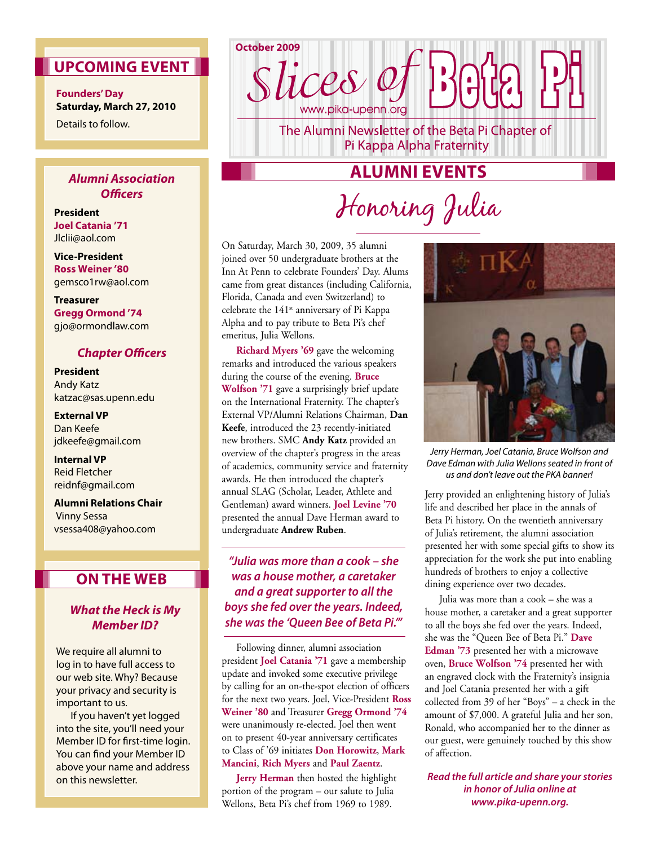### **Upcoming Event**

**Founders' Day Saturday, March 27, 2010** Details to follow.

### *Alumni Association Officers*

**President Joel Catania '71** Jlclii@aol.com

**Vice-President Ross Weiner '80** gemsco1rw@aol.com

**Treasurer Gregg Ormond '74** gjo@ormondlaw.com

### *Chapter Officers*

**President** Andy Katz katzac@sas.upenn.edu

**External VP** Dan Keefe jdkeefe@gmail.com

**Internal VP** Reid Fletcher reidnf@gmail.com

**Alumni Relations Chair** Vinny Sessa vsessa408@yahoo.com

### **On The Web**

### *What the Heck is My Member ID?*

We require all alumni to log in to have full access to our web site. Why? Because your privacy and security is important to us.

If you haven't yet logged into the site, you'll need your Member ID for first-time login. You can find your Member ID above your name and address on this newsletter.

**October 2009** lices et www.pika-upenn.orc

The Alumni Newsletter of the Beta Pi Chapter of Pi Kappa Alpha Fraternity

# **Alumni Events**

# Honoring Julia

On Saturday, March 30, 2009, 35 alumni joined over 50 undergraduate brothers at the Inn At Penn to celebrate Founders' Day. Alums came from great distances (including California, Florida, Canada and even Switzerland) to celebrate the  $141<sup>st</sup>$  anniversary of Pi Kappa Alpha and to pay tribute to Beta Pi's chef emeritus, Julia Wellons.

**Richard Myers '69** gave the welcoming remarks and introduced the various speakers during the course of the evening. **Bruce Wolfson '71** gave a surprisingly brief update on the International Fraternity. The chapter's External VP/Alumni Relations Chairman, **Dan Keefe**, introduced the 23 recently-initiated new brothers. SMC **Andy Katz** provided an overview of the chapter's progress in the areas of academics, community service and fraternity awards. He then introduced the chapter's annual SLAG (Scholar, Leader, Athlete and Gentleman) award winners. **Joel Levine '70** presented the annual Dave Herman award to undergraduate **Andrew Ruben**.

*"Julia was more than a cook – she was a house mother, a caretaker and a great supporter to all the boys she fed over the years. Indeed, she was the 'Queen Bee of Beta Pi.'"*

Following dinner, alumni association president **Joel Catania '71** gave a membership update and invoked some executive privilege by calling for an on-the-spot election of officers for the next two years. Joel, Vice-President **Ross Weiner '80** and Treasurer **Gregg Ormond '74** were unanimously re-elected. Joel then went on to present 40-year anniversary certificates to Class of '69 initiates **Don Horowitz**, **Mark Mancini**, **Rich Myers** and **Paul Zaentz**.

**Jerry Herman** then hosted the highlight portion of the program – our salute to Julia Wellons, Beta Pi's chef from 1969 to 1989.



*Jerry Herman, Joel Catania, Bruce Wolfson and Dave Edman with Julia Wellons seated in front of us and don't leave out the PKA banner!*

Jerry provided an enlightening history of Julia's life and described her place in the annals of Beta Pi history. On the twentieth anniversary of Julia's retirement, the alumni association presented her with some special gifts to show its appreciation for the work she put into enabling hundreds of brothers to enjoy a collective dining experience over two decades.

Julia was more than a cook – she was a house mother, a caretaker and a great supporter to all the boys she fed over the years. Indeed, she was the "Queen Bee of Beta Pi." **Dave Edman '73** presented her with a microwave oven, **Bruce Wolfson '74** presented her with an engraved clock with the Fraternity's insignia and Joel Catania presented her with a gift collected from 39 of her "Boys" – a check in the amount of \$7,000. A grateful Julia and her son, Ronald, who accompanied her to the dinner as our guest, were genuinely touched by this show of affection.

*Read the full article and share your stories in honor of Julia online at www.pika-upenn.org.*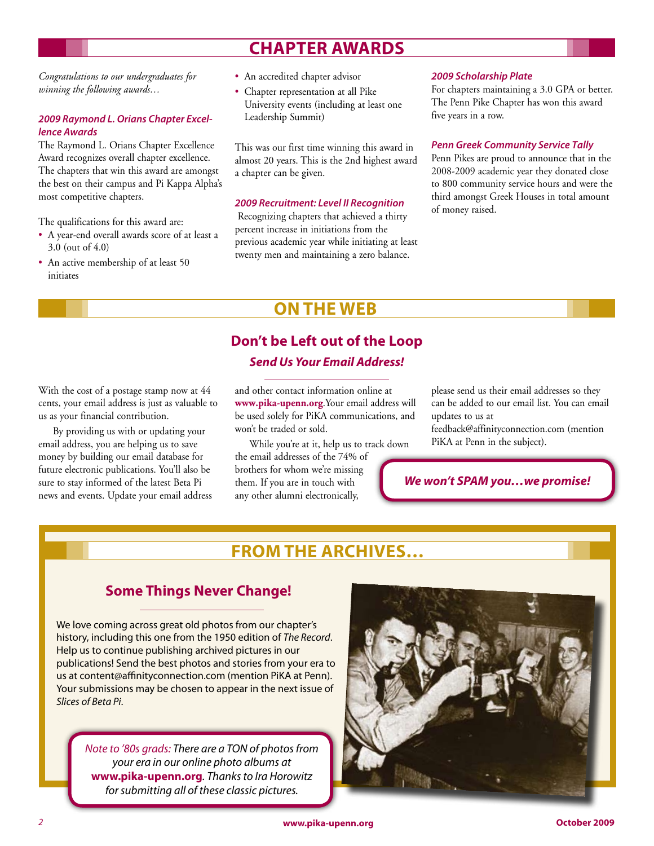# **Chapter Awards**

*Congratulations to our undergraduates for winning the following awards…*

#### *2009 Raymond L. Orians Chapter Excellence Awards*

The Raymond L. Orians Chapter Excellence Award recognizes overall chapter excellence. The chapters that win this award are amongst the best on their campus and Pi Kappa Alpha's most competitive chapters.

The qualifications for this award are:

- A year-end overall awards score of at least a 3.0 (out of 4.0)
- An active membership of at least 50 initiates
- An accredited chapter advisor
- Chapter representation at all Pike University events (including at least one Leadership Summit)

This was our first time winning this award in almost 20 years. This is the 2nd highest award a chapter can be given.

#### *2009 Recruitment: Level II Recognition*

 Recognizing chapters that achieved a thirty percent increase in initiations from the previous academic year while initiating at least twenty men and maintaining a zero balance.

#### *2009 Scholarship Plate*

For chapters maintaining a 3.0 GPA or better. The Penn Pike Chapter has won this award five years in a row.

#### *Penn Greek Community Service Tally*

Penn Pikes are proud to announce that in the 2008-2009 academic year they donated close to 800 community service hours and were the third amongst Greek Houses in total amount of money raised.

# **ON THE WEB**

### **Don't be Left out of the Loop** *Send Us Your Email Address!*

With the cost of a postage stamp now at 44 cents, your email address is just as valuable to us as your financial contribution.

By providing us with or updating your email address, you are helping us to save money by building our email database for future electronic publications. You'll also be sure to stay informed of the latest Beta Pi news and events. Update your email address and other contact information online at **www.pika-upenn.org**.Your email address will be used solely for PiKA communications, and won't be traded or sold.

While you're at it, help us to track down the email addresses of the 74% of brothers for whom we're missing them. If you are in touch with any other alumni electronically,

please send us their email addresses so they can be added to our email list. You can email updates to us at

feedback@affinityconnection.com (mention PiKA at Penn in the subject).

### *We won't SPAM you…we promise!*

# **From the Archives…**

### **Some Things Never Change!**

We love coming across great old photos from our chapter's history, including this one from the 1950 edition of *The Record*. Help us to continue publishing archived pictures in our publications! Send the best photos and stories from your era to us at content@affinityconnection.com (mention PiKA at Penn). Your submissions may be chosen to appear in the next issue of *Slices of Beta Pi*.

*Note to '80s grads: There are a TON of photos from your era in our online photo albums at*  **www.pika-upenn.org***. Thanks to Ira Horowitz for submitting all of these classic pictures.*

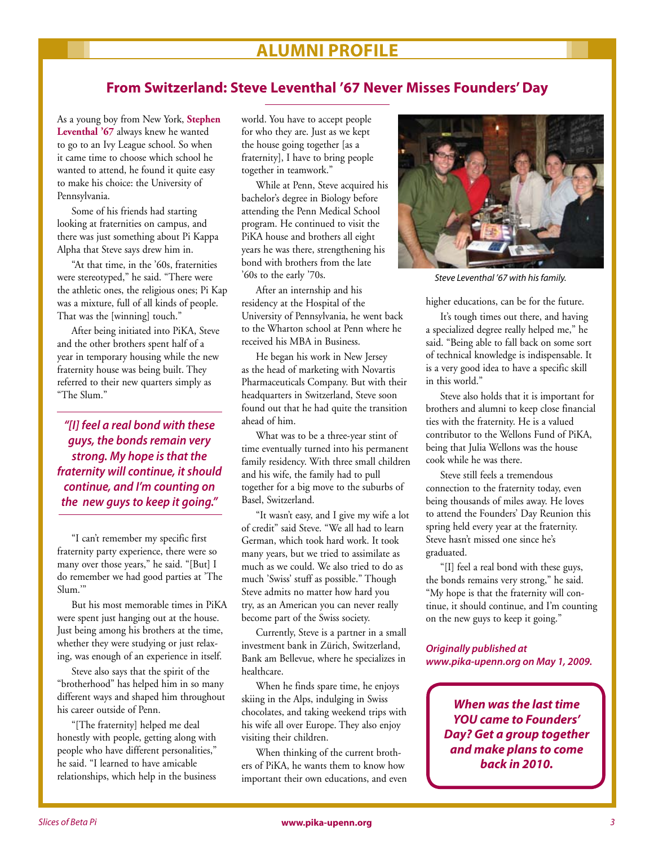# **Alumni Profile**

### **From Switzerland: Steve Leventhal '67 Never Misses Founders' Day**

As a young boy from New York, **Stephen Leventhal '67** always knew he wanted to go to an Ivy League school. So when it came time to choose which school he wanted to attend, he found it quite easy to make his choice: the University of Pennsylvania.

Some of his friends had starting looking at fraternities on campus, and there was just something about Pi Kappa Alpha that Steve says drew him in.

"At that time, in the '60s, fraternities were stereotyped," he said. "There were the athletic ones, the religious ones; Pi Kap was a mixture, full of all kinds of people. That was the [winning] touch."

After being initiated into PiKA, Steve and the other brothers spent half of a year in temporary housing while the new fraternity house was being built. They referred to their new quarters simply as "The Slum."

*"[I] feel a real bond with these guys, the bonds remain very strong. My hope is that the fraternity will continue, it should continue, and I'm counting on the new guys to keep it going."*

"I can't remember my specific first fraternity party experience, there were so many over those years," he said. "[But] I do remember we had good parties at 'The Slum.'"

But his most memorable times in PiKA were spent just hanging out at the house. Just being among his brothers at the time, whether they were studying or just relaxing, was enough of an experience in itself.

Steve also says that the spirit of the "brotherhood" has helped him in so many different ways and shaped him throughout his career outside of Penn.

"[The fraternity] helped me deal honestly with people, getting along with people who have different personalities," he said. "I learned to have amicable relationships, which help in the business world. You have to accept people for who they are. Just as we kept the house going together [as a fraternity], I have to bring people together in teamwork."

While at Penn, Steve acquired his bachelor's degree in Biology before attending the Penn Medical School program. He continued to visit the PiKA house and brothers all eight years he was there, strengthening his bond with brothers from the late '60s to the early '70s.

After an internship and his residency at the Hospital of the University of Pennsylvania, he went back to the Wharton school at Penn where he received his MBA in Business.

He began his work in New Jersey as the head of marketing with Novartis Pharmaceuticals Company. But with their headquarters in Switzerland, Steve soon found out that he had quite the transition ahead of him.

What was to be a three-year stint of time eventually turned into his permanent family residency. With three small children and his wife, the family had to pull together for a big move to the suburbs of Basel, Switzerland.

"It wasn't easy, and I give my wife a lot of credit" said Steve. "We all had to learn German, which took hard work. It took many years, but we tried to assimilate as much as we could. We also tried to do as much 'Swiss' stuff as possible." Though Steve admits no matter how hard you try, as an American you can never really become part of the Swiss society.

Currently, Steve is a partner in a small investment bank in Zürich, Switzerland, Bank am Bellevue, where he specializes in healthcare.

When he finds spare time, he enjoys skiing in the Alps, indulging in Swiss chocolates, and taking weekend trips with his wife all over Europe. They also enjoy visiting their children.

When thinking of the current brothers of PiKA, he wants them to know how important their own educations, and even



*Steve Leventhal '67 with his family.*

higher educations, can be for the future.

It's tough times out there, and having a specialized degree really helped me," he said. "Being able to fall back on some sort of technical knowledge is indispensable. It is a very good idea to have a specific skill in this world."

Steve also holds that it is important for brothers and alumni to keep close financial ties with the fraternity. He is a valued contributor to the Wellons Fund of PiKA, being that Julia Wellons was the house cook while he was there.

Steve still feels a tremendous connection to the fraternity today, even being thousands of miles away. He loves to attend the Founders' Day Reunion this spring held every year at the fraternity. Steve hasn't missed one since he's graduated.

"[I] feel a real bond with these guys, the bonds remains very strong," he said. "My hope is that the fraternity will continue, it should continue, and I'm counting on the new guys to keep it going."

*Originally published at www.pika-upenn.org on May 1, 2009.*

*When was the last time YOU came to Founders' Day? Get a group together and make plans to come back in 2010.*